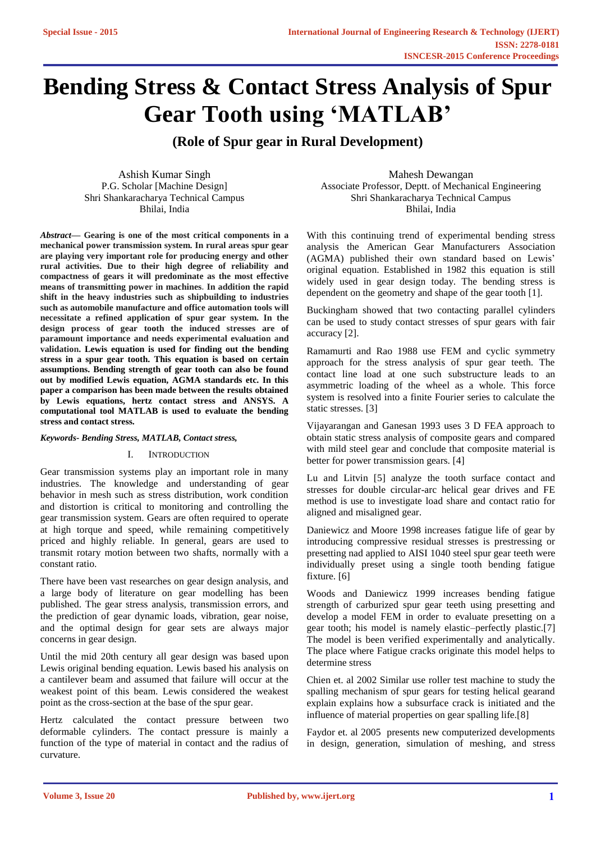# **Bending Stress & Contact Stress Analysis of Spur Gear Tooth using 'MATLAB'**

**(Role of Spur gear in Rural Development)**

Ashish Kumar Singh P.G. Scholar [Machine Design] Shri Shankaracharya Technical Campus Bhilai, India

*Abstract***— Gearing is one of the most critical components in a mechanical power transmission system. In rural areas spur gear are playing very important role for producing energy and other rural activities. Due to their high degree of reliability and compactness of gears it will predominate as the most effective means of transmitting power in machines. In addition the rapid shift in the heavy industries such as shipbuilding to industries such as automobile manufacture and office automation tools will necessitate a refined application of spur gear system. In the design process of gear tooth the induced stresses are of paramount importance and needs experimental evaluation and validation. Lewis equation is used for finding out the bending stress in a spur gear tooth. This equation is based on certain assumptions. Bending strength of gear tooth can also be found out by modified Lewis equation, AGMA standards etc. In this paper a comparison has been made between the results obtained by Lewis equations, hertz contact stress and ANSYS. A computational tool MATLAB is used to evaluate the bending stress and contact stress.** 

### *Keywords- Bending Stress, MATLAB, Contact stress,*

### I. INTRODUCTION

Gear transmission systems play an important role in many industries. The knowledge and understanding of gear behavior in mesh such as stress distribution, work condition and distortion is critical to monitoring and controlling the gear transmission system. Gears are often required to operate at high torque and speed, while remaining competitively priced and highly reliable. In general, gears are used to transmit rotary motion between two shafts, normally with a constant ratio.

There have been vast researches on gear design analysis, and a large body of literature on gear modelling has been published. The gear stress analysis, transmission errors, and the prediction of gear dynamic loads, vibration, gear noise, and the optimal design for gear sets are always major concerns in gear design.

Until the mid 20th century all gear design was based upon Lewis original bending equation. Lewis based his analysis on a cantilever beam and assumed that failure will occur at the weakest point of this beam. Lewis considered the weakest point as the cross-section at the base of the spur gear.

Hertz calculated the contact pressure between two deformable cylinders. The contact pressure is mainly a function of the type of material in contact and the radius of curvature.

Mahesh Dewangan Associate Professor, Deptt. of Mechanical Engineering Shri Shankaracharya Technical Campus Bhilai, India

With this continuing trend of experimental bending stress analysis the American Gear Manufacturers Association (AGMA) published their own standard based on Lewis' original equation. Established in 1982 this equation is still widely used in gear design today. The bending stress is dependent on the geometry and shape of the gear tooth [1].

Buckingham showed that two contacting parallel cylinders can be used to study contact stresses of spur gears with fair accuracy [2].

Ramamurti and Rao 1988 use FEM and cyclic symmetry approach for the stress analysis of spur gear teeth. The contact line load at one such substructure leads to an asymmetric loading of the wheel as a whole. This force system is resolved into a finite Fourier series to calculate the static stresses. [3]

Vijayarangan and Ganesan 1993 uses 3 D FEA approach to obtain static stress analysis of composite gears and compared with mild steel gear and conclude that composite material is better for power transmission gears. [4]

Lu and Litvin [5] analyze the tooth surface contact and stresses for double circular-arc helical gear drives and FE method is use to investigate load share and contact ratio for aligned and misaligned gear.

Daniewicz and Moore 1998 increases fatigue life of gear by introducing compressive residual stresses is prestressing or presetting nad applied to AISI 1040 steel spur gear teeth were individually preset using a single tooth bending fatigue fixture. [6]

Woods and Daniewicz 1999 increases bending fatigue strength of carburized spur gear teeth using presetting and develop a model FEM in order to evaluate presetting on a gear tooth; his model is namely elastic–perfectly plastic.[7] The model is been verified experimentally and analytically. The place where Fatigue cracks originate this model helps to determine stress

Chien et. al 2002 Similar use roller test machine to study the spalling mechanism of spur gears for testing helical gearand explain explains how a subsurface crack is initiated and the influence of material properties on gear spalling life.[8]

Faydor et. al 2005 presents new computerized developments in design, generation, simulation of meshing, and stress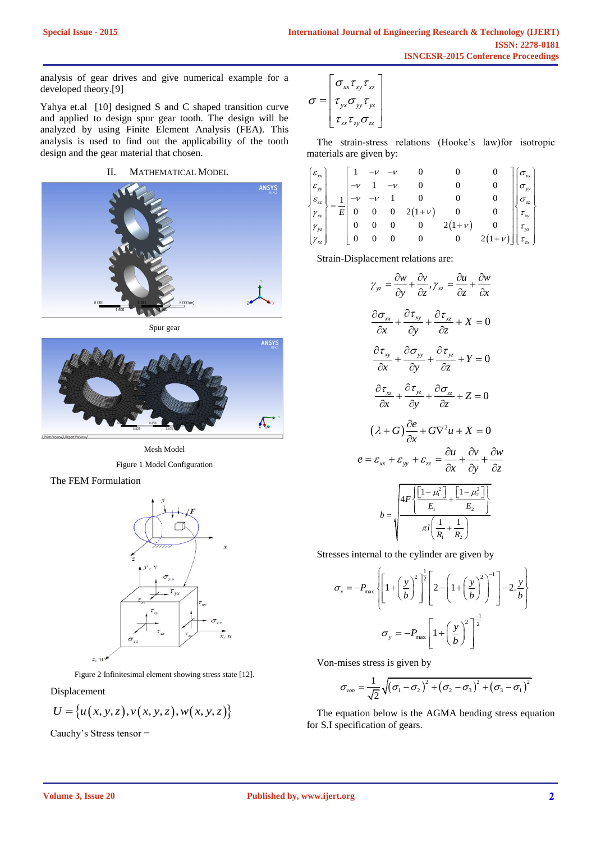analysis of gear drives and give numerical example for a developed theory.[9]

Yahya et.al [10] designed S and C shaped transition curve and applied to design spur gear tooth. The design will be analyzed by using Finite Element Analysis (FEA). This analysis is used to find out the applicability of the tooth design and the gear material that chosen.

## II. MATHEMATICAL MODEL



Spur gear



Mesh Model Figure 1 Model Configuration





Figure 2 Infinitesimal element showing stress state [12].

Displacement

$$
U = \{u(x, y, z), v(x, y, z), w(x, y, z)\}
$$

Cauchy's Stress tensor =

$$
\sigma = \begin{bmatrix} \sigma_{xx}\tau_{xy}\tau_{xz} \\ \tau_{yx}\sigma_{yy}\tau_{yz} \\ \tau_{zx}\tau_{zy}\sigma_{zz} \end{bmatrix}
$$

The strain-stress relations (Hooke's law)for isotropic materials are given by: The stands channot (Thook s Taw) of Isotropic<br>aterials are given by:<br> $\varepsilon_{xx}$   $\begin{bmatrix} 1 & -\nu & -\nu & 0 & 0 & 0 \end{bmatrix} \begin{bmatrix} \sigma_{xx} \end{bmatrix}$ 

|                         |                                                                                                       |                  |                                                            |  |                                            |                  |         | The strain-stress relations (Trooke's law)for isotropic |
|-------------------------|-------------------------------------------------------------------------------------------------------|------------------|------------------------------------------------------------|--|--------------------------------------------|------------------|---------|---------------------------------------------------------|
| materials are given by: |                                                                                                       |                  |                                                            |  |                                            |                  |         |                                                         |
|                         |                                                                                                       |                  |                                                            |  |                                            |                  |         |                                                         |
|                         |                                                                                                       |                  |                                                            |  |                                            |                  |         |                                                         |
|                         |                                                                                                       |                  |                                                            |  |                                            |                  |         |                                                         |
|                         |                                                                                                       |                  | $\begin{vmatrix} 1 & -v & -v \\ -v & 1 & -v \end{vmatrix}$ |  |                                            |                  |         | $\sigma_{yy}$                                           |
|                         | $\begin{bmatrix} \mathcal{E}_{xx} \ \mathcal{E}_{yy} \ \mathcal{E}_{zz} \end{bmatrix}_{-\frac{1}{2}}$ |                  |                                                            |  |                                            |                  |         | $\sigma_{_{\textrm{zz}}}$                               |
| $\gamma_{xy}$           | E <sub>1</sub>                                                                                        | $\boldsymbol{0}$ |                                                            |  | $-v$ 1 0<br>0 0 2(1+ <i>v</i> )<br>0 0 0 2 |                  |         | $\tau_{xy}$                                             |
|                         | $ \gamma_{yz} $ 0                                                                                     |                  | $\overline{\phantom{0}}$                                   |  |                                            | $2(1+\nu)$       |         | $\tau_{yz}$                                             |
|                         |                                                                                                       | $\theta$         | $\theta$                                                   |  | $\overline{0}$                             | $\boldsymbol{0}$ | $2(1+)$ |                                                         |
|                         |                                                                                                       |                  |                                                            |  |                                            |                  |         |                                                         |

Strain-Displacement relations are:

$$
\gamma_{yz} = \frac{\partial w}{\partial y} + \frac{\partial v}{\partial z}, \gamma_{xz} = \frac{\partial u}{\partial z} + \frac{\partial w}{\partial x}
$$

$$
\frac{\partial \sigma_{xx}}{\partial x} + \frac{\partial \tau_{xy}}{\partial y} + \frac{\partial \tau_{xz}}{\partial z} + X = 0
$$

$$
\frac{\partial \tau_{xy}}{\partial x} + \frac{\partial \sigma_{yy}}{\partial y} + \frac{\partial \tau_{yz}}{\partial z} + Y = 0
$$

$$
\frac{\partial \tau_{xz}}{\partial x} + \frac{\partial \tau_{yz}}{\partial y} + \frac{\partial \sigma_{zz}}{\partial z} + Z = 0
$$

$$
(\lambda + G)\frac{\partial e}{\partial x} + G\nabla^2 u + X = 0
$$

$$
e = \varepsilon_{xx} + \varepsilon_{yy} + \varepsilon_{zz} = \frac{\partial u}{\partial x} + \frac{\partial v}{\partial y} + \frac{\partial w}{\partial z}
$$

$$
b = \sqrt{\frac{4F\left[\frac{[1-\mu_i^2]}{E_1} + \frac{[1-\mu_z^2]}{E_2}\right]}{\pi I\left(\frac{1}{R_1} + \frac{1}{R_2}\right)}}
$$

Stresses internal to the cylinder are given by  
\n
$$
\sigma_x = -P_{\text{max}} \left\{ \left[ 1 + \left( \frac{y}{b} \right)^2 \right]^{\frac{1}{2}} \left[ 2 - \left( 1 + \left( \frac{y}{b} \right)^2 \right)^{-1} \right] - 2 \cdot \frac{y}{b} \right\}
$$
\n
$$
\sigma_y = -P_{\text{max}} \left[ 1 + \left( \frac{y}{b} \right)^2 \right]^{\frac{-1}{2}}
$$

Von-mises stress is given by

$$
\sigma_{\text{von}} = \frac{1}{\sqrt{2}} \sqrt{(\sigma_1 - \sigma_2)^2 + (\sigma_2 - \sigma_3)^2 + (\sigma_3 - \sigma_1)^2}
$$

The equation below is the AGMA bending stress equation for S.I specification of gears.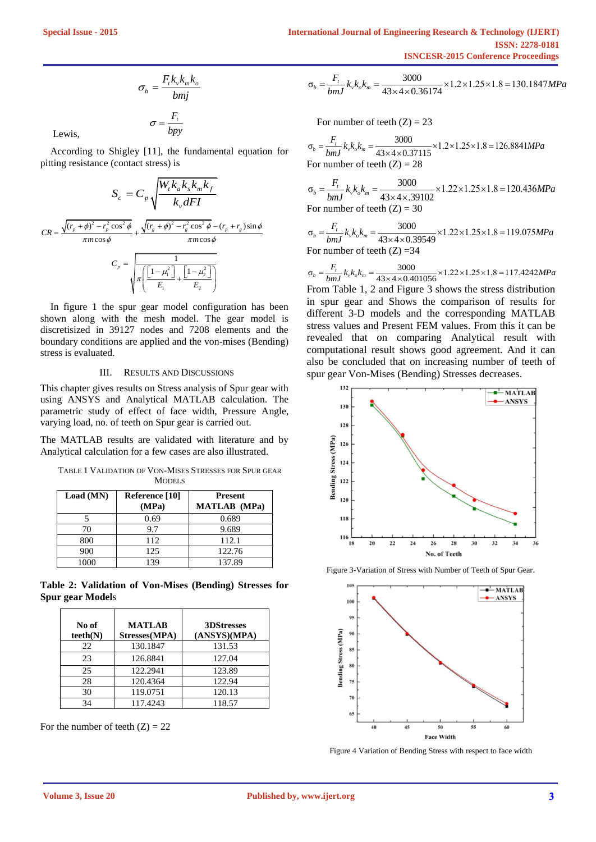$$
\sigma_b = \frac{F_t k_v k_m k_o}{b m j}
$$

$$
\sigma = \frac{F_t}{b p y}
$$

Lewis,

According to Shigley [11], the fundamental equation for pitting resistance (contact stress) is

$$
S_c = C_p \sqrt{\frac{W_r k_a k_s k_m k_f}{k_v dF I}}
$$
  

$$
CR = \frac{\sqrt{(r_p + \phi)^2 - r_p^2 \cos^2 \phi}}{\pi m \cos \phi} + \frac{\sqrt{(r_s + \phi)^2 - r_s^2 \cos^2 \phi} - (r_p + r_s) \sin \phi}{\pi m \cos \phi}
$$
  

$$
C_p = \sqrt{\pi \left(\frac{\left[1 - \mu_1^2\right]}{E_1} + \frac{\left[1 - \mu_2^2\right]}{E_2}\right)}
$$

In figure 1 the spur gear model configuration has been shown along with the mesh model. The gear model is discretisized in 39127 nodes and 7208 elements and the boundary conditions are applied and the von-mises (Bending) stress is evaluated.

#### III. RESULTS AND DISCUSSIONS

This chapter gives results on Stress analysis of Spur gear with using ANSYS and Analytical MATLAB calculation. The parametric study of effect of face width, Pressure Angle, varying load, no. of teeth on Spur gear is carried out.

The MATLAB results are validated with literature and by Analytical calculation for a few cases are also illustrated.

TABLE 1 VALIDATION OF VON-MISES STRESSES FOR SPUR GEAR **MODELS** 

| Load (MN) | Reference [10]<br>(MPa) | <b>Present</b><br><b>MATLAB</b> (MPa) |
|-----------|-------------------------|---------------------------------------|
|           | 0.69                    | 0.689                                 |
| 70        | 9.7                     | 9.689                                 |
| 800       | 112                     | 112.1                                 |
| 900       | 125                     | 122.76                                |
| 1000      | 139                     | 137.89                                |

**Table 2: Validation of Von-Mises (Bending) Stresses for Spur gear Model**s

| No of<br>teeth(N) | <b>MATLAB</b><br>Stresses(MPA) | 3DStresses<br>(ANSYS)(MPA) |
|-------------------|--------------------------------|----------------------------|
| 22                | 130.1847                       | 131.53                     |
| 23                | 126.8841                       | 127.04                     |
| 25                | 122.2941                       | 123.89                     |
| 28                | 120.4364                       | 122.94                     |
| 30                | 119.0751                       | 120.13                     |
| 34                | 117.4243                       | 118.57                     |

For the number of teeth  $(Z) = 22$ 

**ISNCESR-2015 Conference Proceedings**  

$$
\sigma_b = \frac{F_t}{bmJ} k_v k_o k_m = \frac{3000}{43 \times 4 \times 0.36174} \times 1.2 \times 1.25 \times 1.8 = 130.1847 MPa
$$

For number of teeth (Z) = 23  
\n
$$
\sigma_b = \frac{F_t}{bmJ} k_v k_o k_m = \frac{3000}{43 \times 4 \times 0.37115} \times 1.2 \times 1.25 \times 1.8 = 126.8841 MPa
$$
\nFor number of teeth (Z) = 28

For number of teeth (Z) = 28  
\n
$$
\sigma_b = \frac{F_t}{bmJ} k_v k_o k_m = \frac{3000}{43 \times 4 \times .39102} \times 1.22 \times 1.25 \times 1.8 = 120.436 MPa
$$
\nFor number of teeth (Z) = 30

For number of teeth (Z) = 30  
\n
$$
\sigma_b = \frac{F_t}{bmJ} k_v k_o k_m = \frac{3000}{43 \times 4 \times 0.39549} \times 1.22 \times 1.25 \times 1.8 = 119.075 MPa
$$
\nFor number of teeth (Z) = 34

$$
600 J
$$
 For number of teeth (Z) = 34  
For number of teeth (Z) = 34  

$$
\sigma_b = \frac{F_t}{bmJ} k_v k_e k_m = \frac{3000}{43 \times 4 \times 0.401056} \times 1.22 \times 1.25 \times 1.8 = 117.4242 MPa
$$
  
From Table 1, 2 and Figure 3 shows the stress distribution

in spur gear and Shows the comparison of results for different 3-D models and the corresponding MATLAB stress values and Present FEM values. From this it can be revealed that on comparing Analytical result with computational result shows good agreement. And it can also be concluded that on increasing number of teeth of spur gear Von-Mises (Bending) Stresses decreases.



Figure 3-Variation of Stress with Number of Teeth of Spur Gear.



Figure 4 Variation of Bending Stress with respect to face width